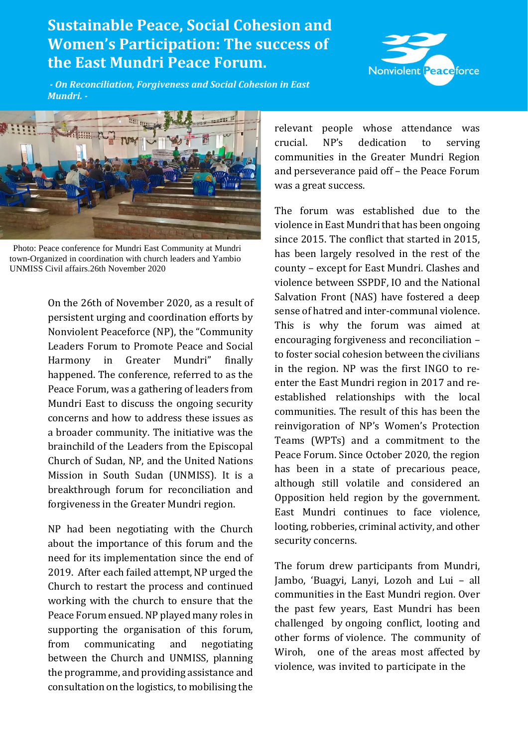## **Sustainable Peace, Social Cohesion and Women's Participation: The success of the East Mundri Peace Forum.**



*- On Reconciliation, Forgiveness and Social Cohesion in East Mundri. -*



Photo: Peace conference for Mundri East Community at Mundri town-Organized in coordination with church leaders and Yambio UNMISS Civil affairs.26th November 2020

On the 26th of November 2020, as a result of persistent urging and coordination efforts by Nonviolent Peaceforce (NP), the "Community Leaders Forum to Promote Peace and Social Harmony in Greater Mundri" finally happened. The conference, referred to as the Peace Forum, was a gathering of leaders from Mundri East to discuss the ongoing security concerns and how to address these issues as a broader community. The initiative was the brainchild of the Leaders from the Episcopal Church of Sudan, NP, and the United Nations Mission in South Sudan (UNMISS). It is a breakthrough forum for reconciliation and forgiveness in the Greater Mundri region.

NP had been negotiating with the Church about the importance of this forum and the need for its implementation since the end of 2019. After each failed attempt, NP urged the Church to restart the process and continued working with the church to ensure that the Peace Forum ensued. NP played many roles in supporting the organisation of this forum, from communicating and negotiating between the Church and UNMISS, planning the programme, and providing assistance and consultation on the logistics, to mobilising the

relevant people whose attendance was crucial. NP's dedication to serving communities in the Greater Mundri Region and perseverance paid off – the Peace Forum was a great success.

The forum was established due to the violence in East Mundri that has been ongoing since 2015. The conflict that started in 2015, has been largely resolved in the rest of the county – except for East Mundri. Clashes and violence between SSPDF, IO and the National Salvation Front (NAS) have fostered a deep sense of hatred and inter-communal violence. This is why the forum was aimed at encouraging forgiveness and reconciliation – to foster social cohesion between the civilians in the region. NP was the first INGO to reenter the East Mundri region in 2017 and reestablished relationships with the local communities. The result of this has been the reinvigoration of NP's Women's Protection Teams (WPTs) and a commitment to the Peace Forum. Since October 2020, the region has been in a state of precarious peace, although still volatile and considered an Opposition held region by the government. East Mundri continues to face violence, looting, robberies, criminal activity, and other security concerns.

The forum drew participants from Mundri, Jambo, 'Buagyi, Lanyi, Lozoh and Lui – all communities in the East Mundri region. Over the past few years, East Mundri has been challenged by ongoing conflict, looting and other forms of violence. The community of Wiroh, one of the areas most affected by violence, was invited to participate in the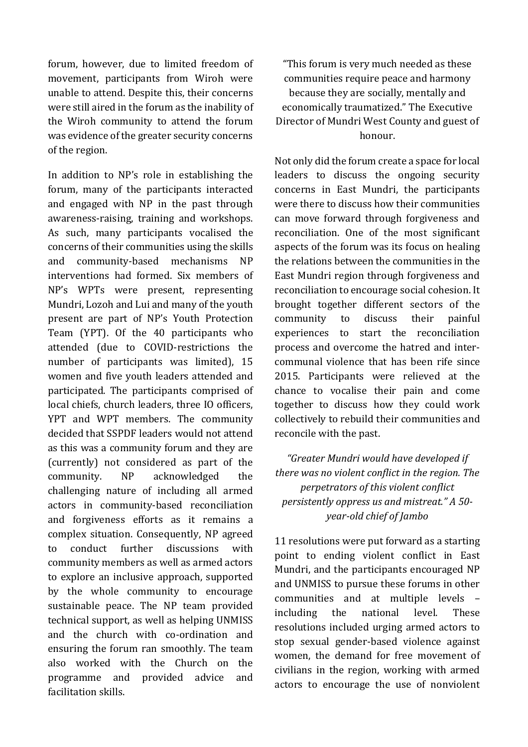forum, however, due to limited freedom of movement, participants from Wiroh were unable to attend. Despite this, their concerns were still aired in the forum as the inability of the Wiroh community to attend the forum was evidence of the greater security concerns of the region.

In addition to NP's role in establishing the forum, many of the participants interacted and engaged with NP in the past through awareness-raising, training and workshops. As such, many participants vocalised the concerns of their communities using the skills and community-based mechanisms NP interventions had formed. Six members of NP's WPTs were present, representing Mundri, Lozoh and Lui and many of the youth present are part of NP's Youth Protection Team (YPT). Of the 40 participants who attended (due to COVID-restrictions the number of participants was limited), 15 women and five youth leaders attended and participated. The participants comprised of local chiefs, church leaders, three IO officers, YPT and WPT members. The community decided that SSPDF leaders would not attend as this was a community forum and they are (currently) not considered as part of the community. NP acknowledged the challenging nature of including all armed actors in community-based reconciliation and forgiveness efforts as it remains a complex situation. Consequently, NP agreed to conduct further discussions with community members as well as armed actors to explore an inclusive approach, supported by the whole community to encourage sustainable peace. The NP team provided technical support, as well as helping UNMISS and the church with co-ordination and ensuring the forum ran smoothly. The team also worked with the Church on the programme and provided advice and facilitation skills.

"This forum is very much needed as these communities require peace and harmony because they are socially, mentally and economically traumatized." The Executive Director of Mundri West County and guest of honour.

Not only did the forum create a space for local leaders to discuss the ongoing security concerns in East Mundri, the participants were there to discuss how their communities can move forward through forgiveness and reconciliation. One of the most significant aspects of the forum was its focus on healing the relations between the communities in the East Mundri region through forgiveness and reconciliation to encourage social cohesion. It brought together different sectors of the community to discuss their painful experiences to start the reconciliation process and overcome the hatred and intercommunal violence that has been rife since 2015. Participants were relieved at the chance to vocalise their pain and come together to discuss how they could work collectively to rebuild their communities and reconcile with the past.

*"Greater Mundri would have developed if there was no violent conflict in the region. The perpetrators of this violent conflict persistently oppress us and mistreat." A 50 year-old chief of Jambo*

11 resolutions were put forward as a starting point to ending violent conflict in East Mundri, and the participants encouraged NP and UNMISS to pursue these forums in other communities and at multiple levels – including the national level. These resolutions included urging armed actors to stop sexual gender-based violence against women, the demand for free movement of civilians in the region, working with armed actors to encourage the use of nonviolent